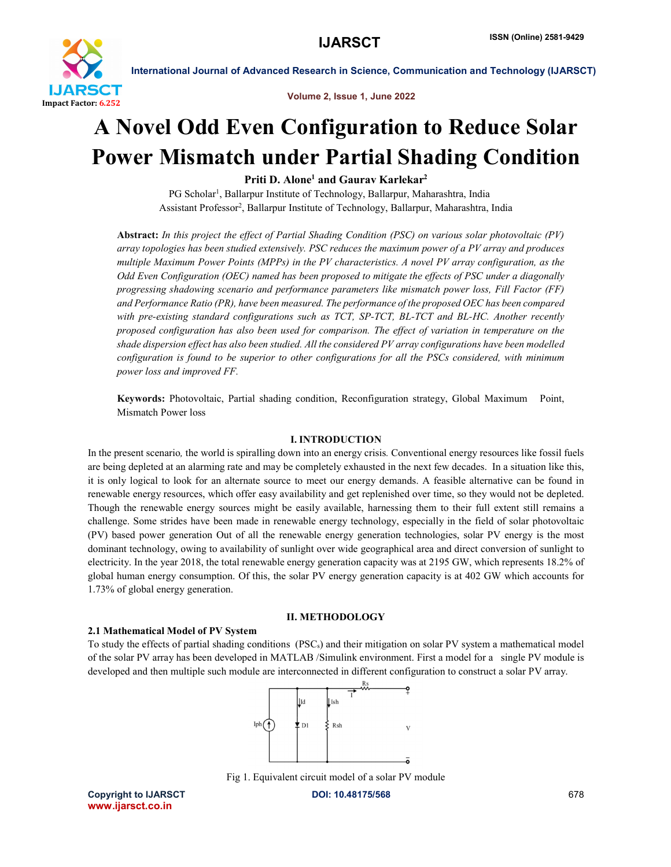

Volume 2, Issue 1, June 2022

## A Novel Odd Even Configuration to Reduce Solar Power Mismatch under Partial Shading Condition

Priti D. Alone<sup>1</sup> and Gaurav Karlekar<sup>2</sup>

PG Scholar<sup>1</sup>, Ballarpur Institute of Technology, Ballarpur, Maharashtra, India Assistant Professor2 , Ballarpur Institute of Technology, Ballarpur, Maharashtra, India

Abstract: *In this project the effect of Partial Shading Condition (PSC) on various solar photovoltaic (PV) array topologies has been studied extensively. PSC reduces the maximum power of a PV array and produces multiple Maximum Power Points (MPPs) in the PV characteristics. A novel PV array configuration, as the Odd Even Configuration (OEC) named has been proposed to mitigate the effects of PSC under a diagonally progressing shadowing scenario and performance parameters like mismatch power loss, Fill Factor (FF) and Performance Ratio (PR), have been measured. The performance of the proposed OEC has been compared with pre-existing standard configurations such as TCT, SP-TCT, BL-TCT and BL-HC. Another recently proposed configuration has also been used for comparison. The effect of variation in temperature on the shade dispersion effect has also been studied. All the considered PV array configurations have been modelled configuration is found to be superior to other configurations for all the PSCs considered, with minimum power loss and improved FF.*

Keywords: Photovoltaic, Partial shading condition, Reconfiguration strategy, Global Maximum Point, Mismatch Power loss

#### I. INTRODUCTION

In the present scenario*,* the world is spiralling down into an energy crisis*.* Conventional energy resources like fossil fuels are being depleted at an alarming rate and may be completely exhausted in the next few decades. In a situation like this, it is only logical to look for an alternate source to meet our energy demands. A feasible alternative can be found in renewable energy resources, which offer easy availability and get replenished over time, so they would not be depleted. Though the renewable energy sources might be easily available, harnessing them to their full extent still remains a challenge. Some strides have been made in renewable energy technology, especially in the field of solar photovoltaic (PV) based power generation Out of all the renewable energy generation technologies, solar PV energy is the most dominant technology, owing to availability of sunlight over wide geographical area and direct conversion of sunlight to electricity. In the year 2018, the total renewable energy generation capacity was at 2195 GW, which represents 18.2% of global human energy consumption. Of this, the solar PV energy generation capacity is at 402 GW which accounts for 1.73% of global energy generation.

#### II. METHODOLOGY

#### 2.1 Mathematical Model of PV System

To study the effects of partial shading conditions  $(PSC<sub>s</sub>)$  and their mitigation on solar PV system a mathematical model of the solar PV array has been developed in MATLAB /Simulink environment. First a model for a single PV module is developed and then multiple such module are interconnected in different configuration to construct a solar PV array.



Fig 1. Equivalent circuit model of a solar PV module

Copyright to IJARSCT **DOI: 10.48175/568** 678 www.ijarsct.co.in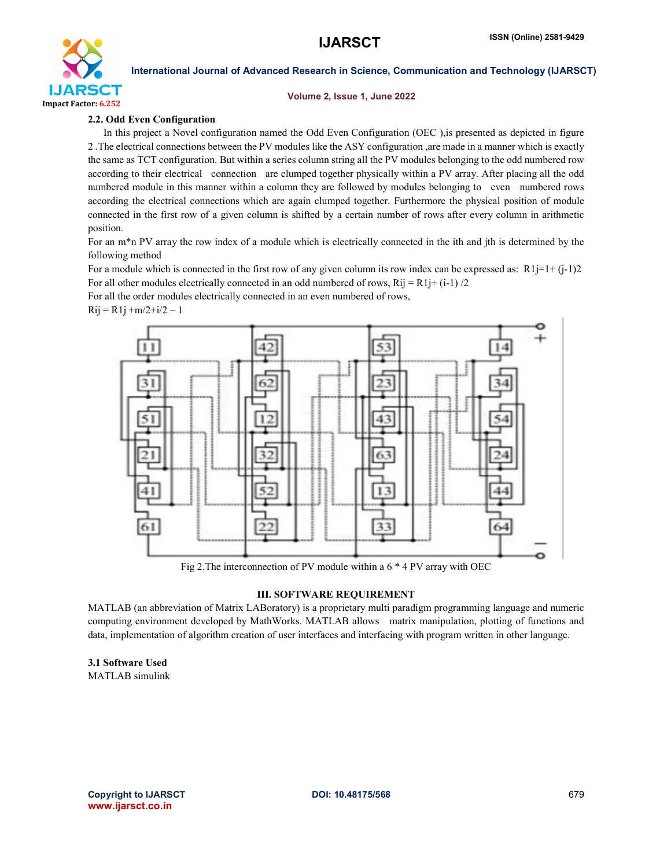

#### Volume 2, Issue 1, June 2022

#### 2.2. Odd Even Configuration

 In this project a Novel configuration named the Odd Even Configuration (OEC ),is presented as depicted in figure 2 .The electrical connections between the PV modules like the ASY configuration ,are made in a manner which is exactly the same as TCT configuration. But within a series column string all the PV modules belonging to the odd numbered row according to their electrical connection are clumped together physically within a PV array. After placing all the odd numbered module in this manner within a column they are followed by modules belonging to even numbered rows according the electrical connections which are again clumped together. Furthermore the physical position of module connected in the first row of a given column is shifted by a certain number of rows after every column in arithmetic position.

For an m<sup>\*</sup>n PV array the row index of a module which is electrically connected in the ith and jth is determined by the following method

For a module which is connected in the first row of any given column its row index can be expressed as:  $R1j=1+(j-1)2$ For all other modules electrically connected in an odd numbered of rows,  $Rij = R1j + (i-1)/2$ 

For all the order modules electrically connected in an even numbered of rows,

 $Rij = R1j + m/2 + i/2 - 1$ 



Fig 2.The interconnection of PV module within a 6 \* 4 PV array with OEC

#### III. SOFTWARE REQUIREMENT

MATLAB (an abbreviation of Matrix LABoratory) is a proprietary multi paradigm programming language and numeric computing environment developed by MathWorks. MATLAB allows matrix manipulation, plotting of functions and data, implementation of algorithm creation of user interfaces and interfacing with program written in other language.

3.1 Software Used MATLAB simulink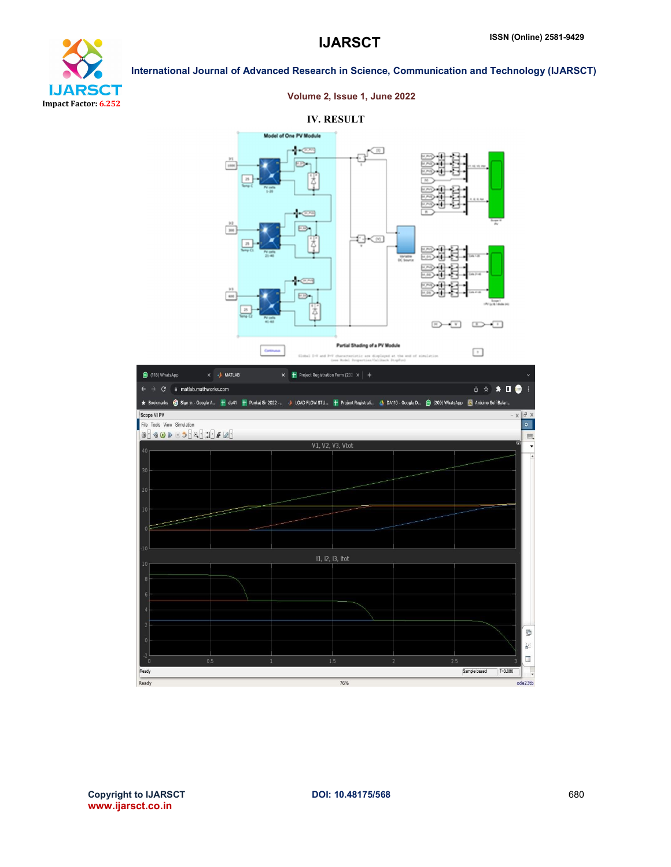

## Volume 2, Issue 1, June 2022

#### IV. RESULT

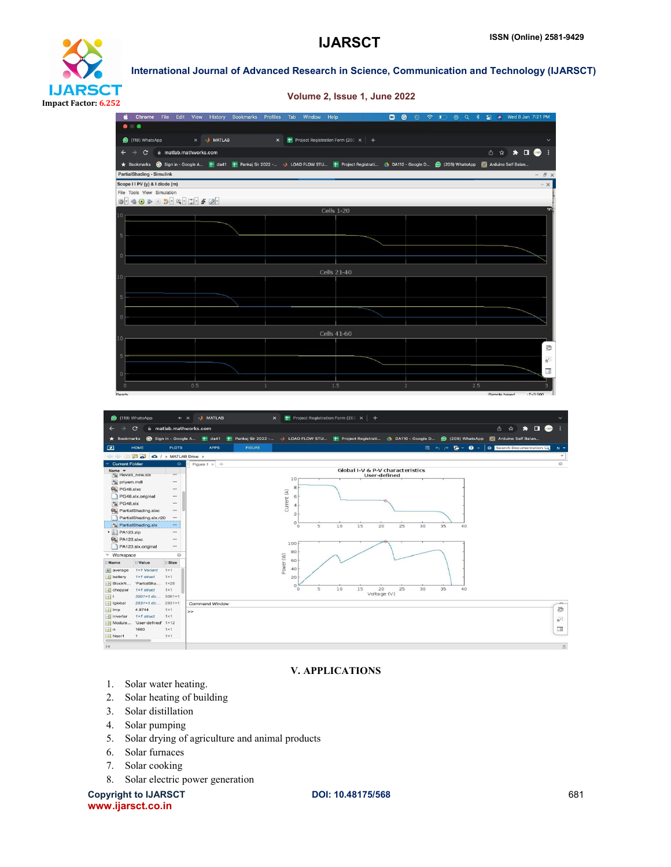# **IJARSCT** Impact Factor: 6.252

International Journal of Advanced Research in Science, Communication and Technology (IJARSCT)

Volume 2, Issue 1, June 2022



#### V. APPLICATIONS

 $\overline{15}$ 

 $\overline{25}$  $\frac{1}{30}$ ą.

20<br>Voltage (V)

10

Power (W) 60

 $\overline{\mathbf{8}}$ 

40

 $20$ 

- 1. Solar water heating.
- 2. Solar heating of building

...

 $::Size$ 

 $1\times 1$ 

 $1 \times 1$ 

 $1\times 1$ 

 $3001 \times 1$ 

2931×1

 $\begin{array}{c} 1 \times 1 \\ 1 \times 1 \end{array}$ 

 $1 \times 1$  $1\times 1$ 

 $1 \times 2R$ 

Workspace

: Value

1×1 Variant

 $1 \times 1$  struct

"PartialSha...

 $1 \times 1$  struct

 $3001 \times 1$  do..

 $2931 \times 1$  do...

 $4.9744$   $1\times1$  struct

1663<br>1

"User-defined" 1×12

 $\begin{tabular}{l} \hline \textbf{I} & \textbf{Name} \\ \hline \textbf{E} & \textbf{average} \\ \hline \textbf{E} & \textbf{battery} \end{tabular}$ 

BlockN...<br>
E chopper

lmp<br>
lmp<br>
inverter

Module..

—<br>
In<br>
H Nser1

 $|4$ 

田  $\overline{\mathbf{H}}$  Iglobal

- 3. Solar distillation
- 4. Solar pumping
- 5. Solar drying of agriculture and animal products

Command Window

- 6. Solar furnaces
- 7. Solar cooking
- 8. Solar electric power generation

Copyright to IJARSCT **DOI: 10.48175/568** 681 www.ijarsct.co.in

G ц.

 $\overline{\phantom{a}}$ 

 $\overline{\mathbf{v}}$